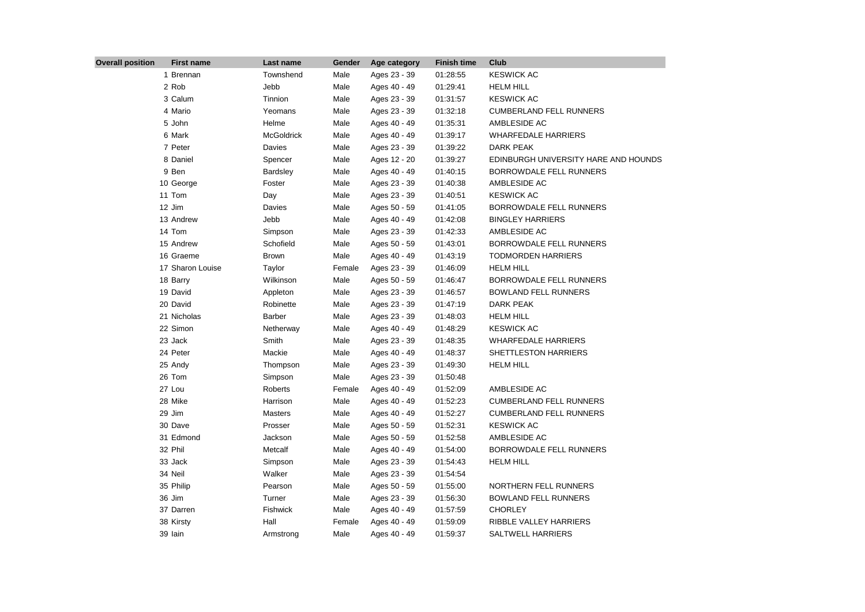| <b>Overall position</b> | <b>First name</b> | Last name         | Gender | Age category | <b>Finish time</b> | Club                                 |
|-------------------------|-------------------|-------------------|--------|--------------|--------------------|--------------------------------------|
|                         | 1 Brennan         | Townshend         | Male   | Ages 23 - 39 | 01:28:55           | <b>KESWICK AC</b>                    |
|                         | 2 Rob             | Jebb              | Male   | Ages 40 - 49 | 01:29:41           | <b>HELM HILL</b>                     |
|                         | 3 Calum           | Tinnion           | Male   | Ages 23 - 39 | 01:31:57           | <b>KESWICK AC</b>                    |
|                         | 4 Mario           | Yeomans           | Male   | Ages 23 - 39 | 01:32:18           | <b>CUMBERLAND FELL RUNNERS</b>       |
|                         | 5 John            | Helme             | Male   | Ages 40 - 49 | 01:35:31           | AMBLESIDE AC                         |
|                         | 6 Mark            | <b>McGoldrick</b> | Male   | Ages 40 - 49 | 01:39:17           | <b>WHARFEDALE HARRIERS</b>           |
|                         | 7 Peter           | Davies            | Male   | Ages 23 - 39 | 01:39:22           | DARK PEAK                            |
|                         | 8 Daniel          | Spencer           | Male   | Ages 12 - 20 | 01:39:27           | EDINBURGH UNIVERSITY HARE AND HOUNDS |
|                         | 9 Ben             | Bardsley          | Male   | Ages 40 - 49 | 01:40:15           | BORROWDALE FELL RUNNERS              |
|                         | 10 George         | Foster            | Male   | Ages 23 - 39 | 01:40:38           | AMBLESIDE AC                         |
|                         | 11 Tom            | Day               | Male   | Ages 23 - 39 | 01:40:51           | <b>KESWICK AC</b>                    |
|                         | 12 Jim            | Davies            | Male   | Ages 50 - 59 | 01:41:05           | BORROWDALE FELL RUNNERS              |
|                         | 13 Andrew         | Jebb              | Male   | Ages 40 - 49 | 01:42:08           | <b>BINGLEY HARRIERS</b>              |
|                         | 14 Tom            | Simpson           | Male   | Ages 23 - 39 | 01:42:33           | AMBLESIDE AC                         |
|                         | 15 Andrew         | Schofield         | Male   | Ages 50 - 59 | 01:43:01           | BORROWDALE FELL RUNNERS              |
|                         | 16 Graeme         | Brown             | Male   | Ages 40 - 49 | 01:43:19           | <b>TODMORDEN HARRIERS</b>            |
|                         | 17 Sharon Louise  | Taylor            | Female | Ages 23 - 39 | 01:46:09           | <b>HELM HILL</b>                     |
|                         | 18 Barry          | Wilkinson         | Male   | Ages 50 - 59 | 01:46:47           | BORROWDALE FELL RUNNERS              |
|                         | 19 David          | Appleton          | Male   | Ages 23 - 39 | 01:46:57           | <b>BOWLAND FELL RUNNERS</b>          |
|                         | 20 David          | Robinette         | Male   | Ages 23 - 39 | 01:47:19           | DARK PEAK                            |
|                         | 21 Nicholas       | <b>Barber</b>     | Male   | Ages 23 - 39 | 01:48:03           | <b>HELM HILL</b>                     |
|                         | 22 Simon          | Netherway         | Male   | Ages 40 - 49 | 01:48:29           | <b>KESWICK AC</b>                    |
|                         | 23 Jack           | Smith             | Male   | Ages 23 - 39 | 01:48:35           | <b>WHARFEDALE HARRIERS</b>           |
|                         | 24 Peter          | Mackie            | Male   | Ages 40 - 49 | 01:48:37           | SHETTLESTON HARRIERS                 |
|                         | 25 Andy           | Thompson          | Male   | Ages 23 - 39 | 01:49:30           | <b>HELM HILL</b>                     |
|                         | 26 Tom            | Simpson           | Male   | Ages 23 - 39 | 01:50:48           |                                      |
|                         | 27 Lou            | Roberts           | Female | Ages 40 - 49 | 01:52:09           | AMBLESIDE AC                         |
|                         | 28 Mike           | Harrison          | Male   | Ages 40 - 49 | 01:52:23           | <b>CUMBERLAND FELL RUNNERS</b>       |
|                         | 29 Jim            | Masters           | Male   | Ages 40 - 49 | 01:52:27           | <b>CUMBERLAND FELL RUNNERS</b>       |
|                         | 30 Dave           | Prosser           | Male   | Ages 50 - 59 | 01:52:31           | <b>KESWICK AC</b>                    |
|                         | 31 Edmond         | Jackson           | Male   | Ages 50 - 59 | 01:52:58           | AMBLESIDE AC                         |
|                         | 32 Phil           | Metcalf           | Male   | Ages 40 - 49 | 01:54:00           | BORROWDALE FELL RUNNERS              |
|                         | 33 Jack           | Simpson           | Male   | Ages 23 - 39 | 01:54:43           | <b>HELM HILL</b>                     |
|                         | 34 Neil           | Walker            | Male   | Ages 23 - 39 | 01:54:54           |                                      |
|                         | 35 Philip         | Pearson           | Male   | Ages 50 - 59 | 01:55:00           | NORTHERN FELL RUNNERS                |
|                         | 36 Jim            | Turner            | Male   | Ages 23 - 39 | 01:56:30           | BOWLAND FELL RUNNERS                 |
|                         | 37 Darren         | Fishwick          | Male   | Ages 40 - 49 | 01:57:59           | <b>CHORLEY</b>                       |
|                         | 38 Kirsty         | Hall              | Female | Ages 40 - 49 | 01:59:09           | RIBBLE VALLEY HARRIERS               |
|                         | 39 Iain           | Armstrong         | Male   | Ages 40 - 49 | 01:59:37           | SALTWELL HARRIERS                    |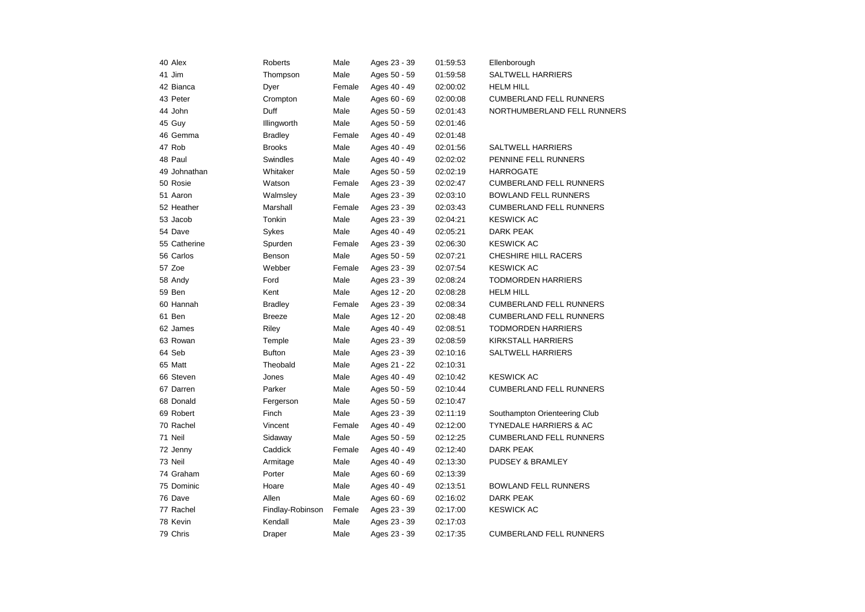| 40 Alex      | Roberts          | Male   | Ages 23 - 39 | 01:59:53 | Ellenborough                   |
|--------------|------------------|--------|--------------|----------|--------------------------------|
| 41 Jim       | Thompson         | Male   | Ages 50 - 59 | 01:59:58 | <b>SALTWELL HARRIERS</b>       |
| 42 Bianca    | Dyer             | Female | Ages 40 - 49 | 02:00:02 | <b>HELM HILL</b>               |
| 43 Peter     | Crompton         | Male   | Ages 60 - 69 | 02:00:08 | <b>CUMBERLAND FELL RUNNERS</b> |
| 44 John      | Duff             | Male   | Ages 50 - 59 | 02:01:43 | NORTHUMBERLAND FELL RUNNERS    |
| 45 Guy       | Illingworth      | Male   | Ages 50 - 59 | 02:01:46 |                                |
| 46 Gemma     | <b>Bradley</b>   | Female | Ages 40 - 49 | 02:01:48 |                                |
| 47 Rob       | <b>Brooks</b>    | Male   | Ages 40 - 49 | 02:01:56 | <b>SALTWELL HARRIERS</b>       |
| 48 Paul      | Swindles         | Male   | Ages 40 - 49 | 02:02:02 | PENNINE FELL RUNNERS           |
| 49 Johnathan | Whitaker         | Male   | Ages 50 - 59 | 02:02:19 | <b>HARROGATE</b>               |
| 50 Rosie     | Watson           | Female | Ages 23 - 39 | 02:02:47 | <b>CUMBERLAND FELL RUNNERS</b> |
| 51 Aaron     | Walmsley         | Male   | Ages 23 - 39 | 02:03:10 | <b>BOWLAND FELL RUNNERS</b>    |
| 52 Heather   | Marshall         | Female | Ages 23 - 39 | 02:03:43 | <b>CUMBERLAND FELL RUNNERS</b> |
| 53 Jacob     | Tonkin           | Male   | Ages 23 - 39 | 02:04:21 | <b>KESWICK AC</b>              |
| 54 Dave      | Sykes            | Male   | Ages 40 - 49 | 02:05:21 | <b>DARK PEAK</b>               |
| 55 Catherine | Spurden          | Female | Ages 23 - 39 | 02:06:30 | <b>KESWICK AC</b>              |
| 56 Carlos    | Benson           | Male   | Ages 50 - 59 | 02:07:21 | <b>CHESHIRE HILL RACERS</b>    |
| 57 Zoe       | Webber           | Female | Ages 23 - 39 | 02:07:54 | <b>KESWICK AC</b>              |
| 58 Andy      | Ford             | Male   | Ages 23 - 39 | 02:08:24 | <b>TODMORDEN HARRIERS</b>      |
| 59 Ben       | Kent             | Male   | Ages 12 - 20 | 02:08:28 | <b>HELM HILL</b>               |
| 60 Hannah    | <b>Bradley</b>   | Female | Ages 23 - 39 | 02:08:34 | <b>CUMBERLAND FELL RUNNERS</b> |
| 61 Ben       | <b>Breeze</b>    | Male   | Ages 12 - 20 | 02:08:48 | <b>CUMBERLAND FELL RUNNERS</b> |
| 62 James     | Riley            | Male   | Ages 40 - 49 | 02:08:51 | <b>TODMORDEN HARRIERS</b>      |
| 63 Rowan     | Temple           | Male   | Ages 23 - 39 | 02:08:59 | KIRKSTALL HARRIERS             |
| 64 Seb       | <b>Bufton</b>    | Male   | Ages 23 - 39 | 02:10:16 | <b>SALTWELL HARRIERS</b>       |
| 65 Matt      | Theobald         | Male   | Ages 21 - 22 | 02:10:31 |                                |
| 66 Steven    | Jones            | Male   | Ages 40 - 49 | 02:10:42 | <b>KESWICK AC</b>              |
| 67 Darren    | Parker           | Male   | Ages 50 - 59 | 02:10:44 | <b>CUMBERLAND FELL RUNNERS</b> |
| 68 Donald    | Fergerson        | Male   | Ages 50 - 59 | 02:10:47 |                                |
| 69 Robert    | Finch            | Male   | Ages 23 - 39 | 02:11:19 | Southampton Orienteering Club  |
| 70 Rachel    | Vincent          | Female | Ages 40 - 49 | 02:12:00 | TYNEDALE HARRIERS & AC         |
| 71 Neil      | Sidaway          | Male   | Ages 50 - 59 | 02:12:25 | <b>CUMBERLAND FELL RUNNERS</b> |
| 72 Jenny     | Caddick          | Female | Ages 40 - 49 | 02:12:40 | <b>DARK PEAK</b>               |
| 73 Neil      | Armitage         | Male   | Ages 40 - 49 | 02:13:30 | PUDSEY & BRAMLEY               |
| 74 Graham    | Porter           | Male   | Ages 60 - 69 | 02:13:39 |                                |
| 75 Dominic   | Hoare            | Male   | Ages 40 - 49 | 02:13:51 | <b>BOWLAND FELL RUNNERS</b>    |
| 76 Dave      | Allen            | Male   | Ages 60 - 69 | 02:16:02 | <b>DARK PEAK</b>               |
| 77 Rachel    | Findlay-Robinson | Female | Ages 23 - 39 | 02:17:00 | <b>KESWICK AC</b>              |
| 78 Kevin     | Kendall          | Male   | Ages 23 - 39 | 02:17:03 |                                |
| 79 Chris     | Draper           | Male   | Ages 23 - 39 | 02:17:35 | <b>CUMBERLAND FELL RUNNERS</b> |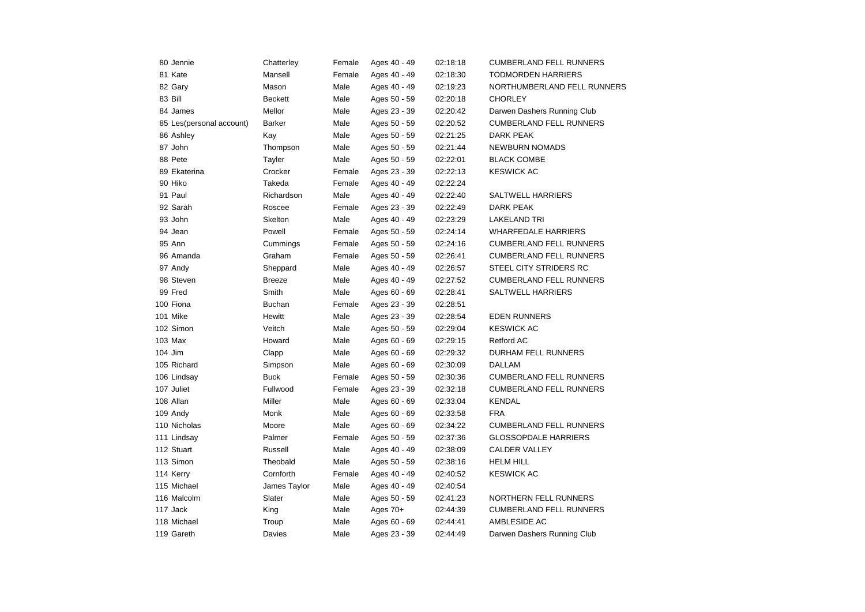| 80 Jennie                | Chatterley     | Female | Ages 40 - 49 | 02:18:18 | <b>CUMBERLAND FELL RUNNERS</b> |
|--------------------------|----------------|--------|--------------|----------|--------------------------------|
| 81 Kate                  | Mansell        | Female | Ages 40 - 49 | 02:18:30 | <b>TODMORDEN HARRIERS</b>      |
| 82 Gary                  | Mason          | Male   | Ages 40 - 49 | 02:19:23 | NORTHUMBERLAND FELL RUNNERS    |
| 83 Bill                  | <b>Beckett</b> | Male   | Ages 50 - 59 | 02:20:18 | <b>CHORLEY</b>                 |
| 84 James                 | Mellor         | Male   | Ages 23 - 39 | 02:20:42 | Darwen Dashers Running Club    |
| 85 Les(personal account) | <b>Barker</b>  | Male   | Ages 50 - 59 | 02:20:52 | <b>CUMBERLAND FELL RUNNERS</b> |
| 86 Ashley                | Kay            | Male   | Ages 50 - 59 | 02:21:25 | DARK PEAK                      |
| 87 John                  | Thompson       | Male   | Ages 50 - 59 | 02:21:44 | <b>NEWBURN NOMADS</b>          |
| 88 Pete                  | Tayler         | Male   | Ages 50 - 59 | 02:22:01 | <b>BLACK COMBE</b>             |
| 89 Ekaterina             | Crocker        | Female | Ages 23 - 39 | 02:22:13 | <b>KESWICK AC</b>              |
| 90 Hiko                  | Takeda         | Female | Ages 40 - 49 | 02:22:24 |                                |
| 91 Paul                  | Richardson     | Male   | Ages 40 - 49 | 02:22:40 | <b>SALTWELL HARRIERS</b>       |
| 92 Sarah                 | Roscee         | Female | Ages 23 - 39 | 02:22:49 | <b>DARK PEAK</b>               |
| 93 John                  | <b>Skelton</b> | Male   | Ages 40 - 49 | 02:23:29 | <b>LAKELAND TRI</b>            |
| 94 Jean                  | Powell         | Female | Ages 50 - 59 | 02:24:14 | <b>WHARFEDALE HARRIERS</b>     |
| 95 Ann                   | Cummings       | Female | Ages 50 - 59 | 02:24:16 | <b>CUMBERLAND FELL RUNNERS</b> |
| 96 Amanda                | Graham         | Female | Ages 50 - 59 | 02:26:41 | <b>CUMBERLAND FELL RUNNERS</b> |
| 97 Andy                  | Sheppard       | Male   | Ages 40 - 49 | 02:26:57 | STEEL CITY STRIDERS RC         |
| 98 Steven                | <b>Breeze</b>  | Male   | Ages 40 - 49 | 02:27:52 | <b>CUMBERLAND FELL RUNNERS</b> |
| 99 Fred                  | Smith          | Male   | Ages 60 - 69 | 02:28:41 | <b>SALTWELL HARRIERS</b>       |
| 100 Fiona                | <b>Buchan</b>  | Female | Ages 23 - 39 | 02:28:51 |                                |
| 101 Mike                 | Hewitt         | Male   | Ages 23 - 39 | 02:28:54 | <b>EDEN RUNNERS</b>            |
| 102 Simon                | Veitch         | Male   | Ages 50 - 59 | 02:29:04 | <b>KESWICK AC</b>              |
| 103 Max                  | Howard         | Male   | Ages 60 - 69 | 02:29:15 | <b>Retford AC</b>              |
| 104 Jim                  | Clapp          | Male   | Ages 60 - 69 | 02:29:32 | DURHAM FELL RUNNERS            |
| 105 Richard              | Simpson        | Male   | Ages 60 - 69 | 02:30:09 | DALLAM                         |
| 106 Lindsay              | <b>Buck</b>    | Female | Ages 50 - 59 | 02:30:36 | <b>CUMBERLAND FELL RUNNERS</b> |
| 107 Juliet               | Fullwood       | Female | Ages 23 - 39 | 02:32:18 | <b>CUMBERLAND FELL RUNNERS</b> |
| 108 Allan                | Miller         | Male   | Ages 60 - 69 | 02:33:04 | <b>KENDAL</b>                  |
| 109 Andy                 | Monk           | Male   | Ages 60 - 69 | 02:33:58 | <b>FRA</b>                     |
| 110 Nicholas             | Moore          | Male   | Ages 60 - 69 | 02:34:22 | <b>CUMBERLAND FELL RUNNERS</b> |
| 111 Lindsay              | Palmer         | Female | Ages 50 - 59 | 02:37:36 | <b>GLOSSOPDALE HARRIERS</b>    |
| 112 Stuart               | Russell        | Male   | Ages 40 - 49 | 02:38:09 | <b>CALDER VALLEY</b>           |
| 113 Simon                | Theobald       | Male   | Ages 50 - 59 | 02:38:16 | <b>HELM HILL</b>               |
| 114 Kerry                | Cornforth      | Female | Ages 40 - 49 | 02:40:52 | <b>KESWICK AC</b>              |
| 115 Michael              | James Taylor   | Male   | Ages 40 - 49 | 02:40:54 |                                |
| 116 Malcolm              | Slater         | Male   | Ages 50 - 59 | 02:41:23 | <b>NORTHERN FELL RUNNERS</b>   |
| 117 Jack                 | King           | Male   | Ages 70+     | 02:44:39 | <b>CUMBERLAND FELL RUNNERS</b> |
| 118 Michael              | Troup          | Male   | Ages 60 - 69 | 02:44:41 | AMBLESIDE AC                   |
| 119 Gareth               | Davies         | Male   | Ages 23 - 39 | 02:44:49 | Darwen Dashers Running Club    |